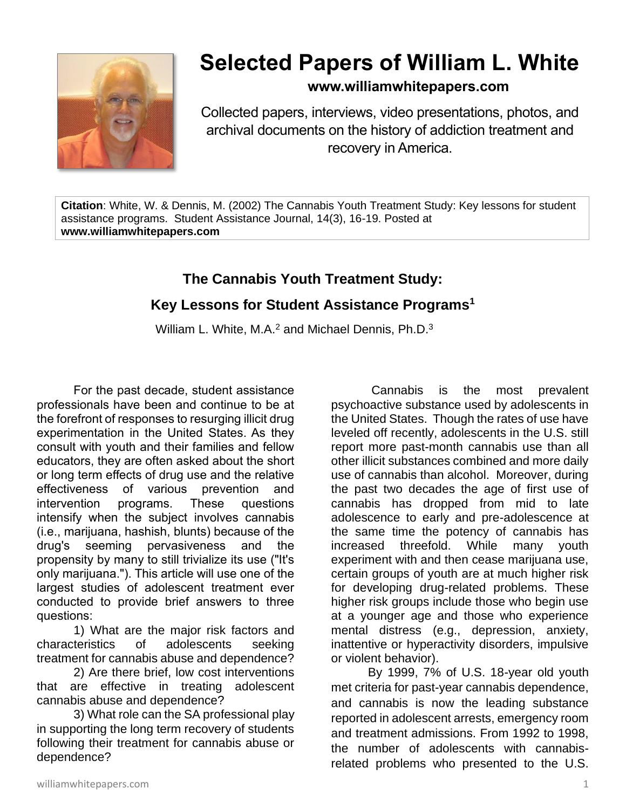

# **Selected Papers of William L. White**

#### **www.williamwhitepapers.com**

Collected papers, interviews, video presentations, photos, and archival documents on the history of addiction treatment and recovery in America.

**Citation**: White, W. & Dennis, M. (2002) The Cannabis Youth Treatment Study: Key lessons for student assistance programs. Student Assistance Journal, 14(3), 16-19. Posted at **www.williamwhitepapers.com**

### **The Cannabis Youth Treatment Study:**

## **Key Lessons for Student Assistance Programs<sup>1</sup>**

William L. White, M.A.<sup>2</sup> and Michael Dennis, Ph.D.<sup>3</sup>

For the past decade, student assistance professionals have been and continue to be at the forefront of responses to resurging illicit drug experimentation in the United States. As they consult with youth and their families and fellow educators, they are often asked about the short or long term effects of drug use and the relative effectiveness of various prevention and intervention programs. These questions intensify when the subject involves cannabis (i.e., marijuana, hashish, blunts) because of the drug's seeming pervasiveness and the propensity by many to still trivialize its use ("It's only marijuana."). This article will use one of the largest studies of adolescent treatment ever conducted to provide brief answers to three questions:

1) What are the major risk factors and characteristics of adolescents seeking treatment for cannabis abuse and dependence?

2) Are there brief, low cost interventions that are effective in treating adolescent cannabis abuse and dependence?

3) What role can the SA professional play in supporting the long term recovery of students following their treatment for cannabis abuse or dependence?

Cannabis is the most prevalent psychoactive substance used by adolescents in the United States. Though the rates of use have leveled off recently, adolescents in the U.S. still report more past-month cannabis use than all other illicit substances combined and more daily use of cannabis than alcohol. Moreover, during the past two decades the age of first use of cannabis has dropped from mid to late adolescence to early and pre-adolescence at the same time the potency of cannabis has increased threefold. While many youth experiment with and then cease marijuana use, certain groups of youth are at much higher risk for developing drug-related problems. These higher risk groups include those who begin use at a younger age and those who experience mental distress (e.g., depression, anxiety, inattentive or hyperactivity disorders, impulsive or violent behavior).

By 1999, 7% of U.S. 18-year old youth met criteria for past-year cannabis dependence, and cannabis is now the leading substance reported in adolescent arrests, emergency room and treatment admissions. From 1992 to 1998, the number of adolescents with cannabisrelated problems who presented to the U.S.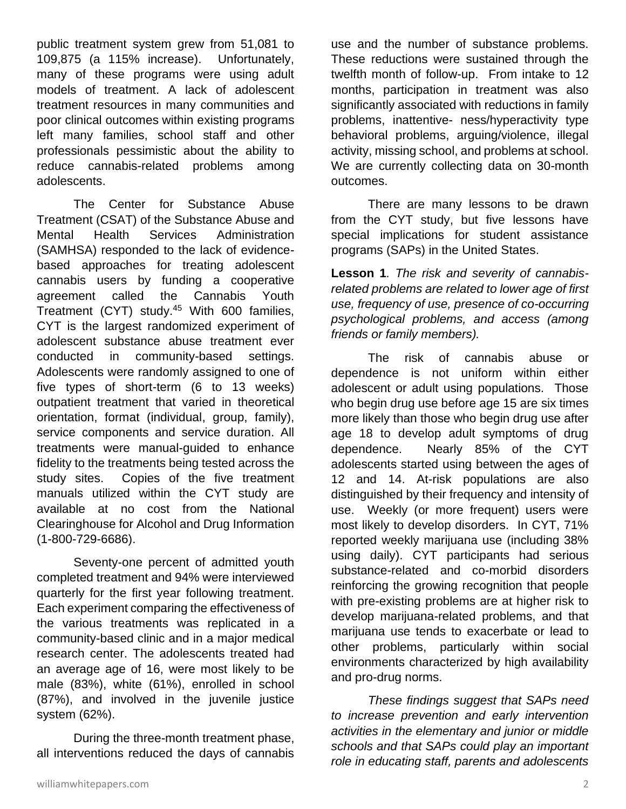public treatment system grew from 51,081 to 109,875 (a 115% increase). Unfortunately, many of these programs were using adult models of treatment. A lack of adolescent treatment resources in many communities and poor clinical outcomes within existing programs left many families, school staff and other professionals pessimistic about the ability to reduce cannabis-related problems among adolescents.

The Center for Substance Abuse Treatment (CSAT) of the Substance Abuse and Mental Health Services Administration (SAMHSA) responded to the lack of evidencebased approaches for treating adolescent cannabis users by funding a cooperative agreement called the Cannabis Youth Treatment (CYT) study.<sup>45</sup> With 600 families, CYT is the largest randomized experiment of adolescent substance abuse treatment ever conducted in community-based settings. Adolescents were randomly assigned to one of five types of short-term (6 to 13 weeks) outpatient treatment that varied in theoretical orientation, format (individual, group, family), service components and service duration. All treatments were manual-guided to enhance fidelity to the treatments being tested across the study sites. Copies of the five treatment manuals utilized within the CYT study are available at no cost from the National Clearinghouse for Alcohol and Drug Information (1-800-729-6686).

Seventy-one percent of admitted youth completed treatment and 94% were interviewed quarterly for the first year following treatment. Each experiment comparing the effectiveness of the various treatments was replicated in a community-based clinic and in a major medical research center. The adolescents treated had an average age of 16, were most likely to be male (83%), white (61%), enrolled in school (87%), and involved in the juvenile justice system (62%).

During the three-month treatment phase, all interventions reduced the days of cannabis

use and the number of substance problems. These reductions were sustained through the twelfth month of follow-up. From intake to 12 months, participation in treatment was also significantly associated with reductions in family problems, inattentive- ness/hyperactivity type behavioral problems, arguing/violence, illegal activity, missing school, and problems at school. We are currently collecting data on 30-month outcomes.

There are many lessons to be drawn from the CYT study, but five lessons have special implications for student assistance programs (SAPs) in the United States.

**Lesson 1***. The risk and severity of cannabisrelated problems are related to lower age of first use, frequency of use, presence of co-occurring psychological problems, and access (among friends or family members).* 

The risk of cannabis abuse or dependence is not uniform within either adolescent or adult using populations. Those who begin drug use before age 15 are six times more likely than those who begin drug use after age 18 to develop adult symptoms of drug dependence. Nearly 85% of the CYT adolescents started using between the ages of 12 and 14. At-risk populations are also distinguished by their frequency and intensity of use. Weekly (or more frequent) users were most likely to develop disorders. In CYT, 71% reported weekly marijuana use (including 38% using daily). CYT participants had serious substance-related and co-morbid disorders reinforcing the growing recognition that people with pre-existing problems are at higher risk to develop marijuana-related problems, and that marijuana use tends to exacerbate or lead to other problems, particularly within social environments characterized by high availability and pro-drug norms.

*These findings suggest that SAPs need to increase prevention and early intervention activities in the elementary and junior or middle schools and that SAPs could play an important role in educating staff, parents and adolescents*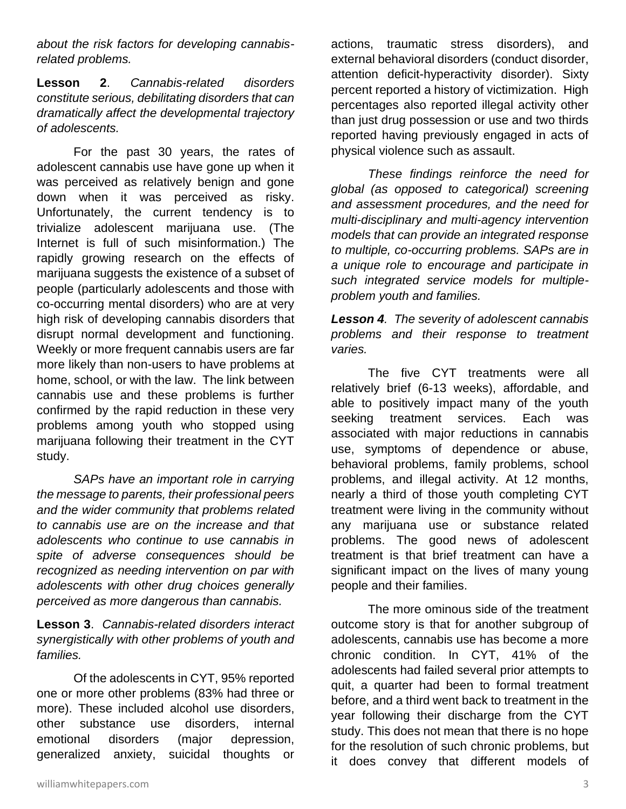*about the risk factors for developing cannabisrelated problems.*

**Lesson 2**. *Cannabis-related disorders constitute serious, debilitating disorders that can dramatically affect the developmental trajectory of adolescents.* 

For the past 30 years, the rates of adolescent cannabis use have gone up when it was perceived as relatively benign and gone down when it was perceived as risky. Unfortunately, the current tendency is to trivialize adolescent marijuana use. (The Internet is full of such misinformation.) The rapidly growing research on the effects of marijuana suggests the existence of a subset of people (particularly adolescents and those with co-occurring mental disorders) who are at very high risk of developing cannabis disorders that disrupt normal development and functioning. Weekly or more frequent cannabis users are far more likely than non-users to have problems at home, school, or with the law. The link between cannabis use and these problems is further confirmed by the rapid reduction in these very problems among youth who stopped using marijuana following their treatment in the CYT study.

*SAPs have an important role in carrying the message to parents, their professional peers and the wider community that problems related to cannabis use are on the increase and that adolescents who continue to use cannabis in spite of adverse consequences should be recognized as needing intervention on par with adolescents with other drug choices generally perceived as more dangerous than cannabis.* 

**Lesson 3**. *Cannabis-related disorders interact synergistically with other problems of youth and families.* 

Of the adolescents in CYT, 95% reported one or more other problems (83% had three or more). These included alcohol use disorders, other substance use disorders, internal emotional disorders (major depression, generalized anxiety, suicidal thoughts or

actions, traumatic stress disorders), and external behavioral disorders (conduct disorder, attention deficit-hyperactivity disorder). Sixty percent reported a history of victimization. High percentages also reported illegal activity other than just drug possession or use and two thirds reported having previously engaged in acts of physical violence such as assault.

*These findings reinforce the need for global (as opposed to categorical) screening and assessment procedures, and the need for multi-disciplinary and multi-agency intervention models that can provide an integrated response to multiple, co-occurring problems. SAPs are in a unique role to encourage and participate in such integrated service models for multipleproblem youth and families.* 

*Lesson 4. The severity of adolescent cannabis problems and their response to treatment varies.* 

The five CYT treatments were all relatively brief (6-13 weeks), affordable, and able to positively impact many of the youth seeking treatment services. Each was associated with major reductions in cannabis use, symptoms of dependence or abuse, behavioral problems, family problems, school problems, and illegal activity. At 12 months, nearly a third of those youth completing CYT treatment were living in the community without any marijuana use or substance related problems. The good news of adolescent treatment is that brief treatment can have a significant impact on the lives of many young people and their families.

The more ominous side of the treatment outcome story is that for another subgroup of adolescents, cannabis use has become a more chronic condition. In CYT, 41% of the adolescents had failed several prior attempts to quit, a quarter had been to formal treatment before, and a third went back to treatment in the year following their discharge from the CYT study. This does not mean that there is no hope for the resolution of such chronic problems, but it does convey that different models of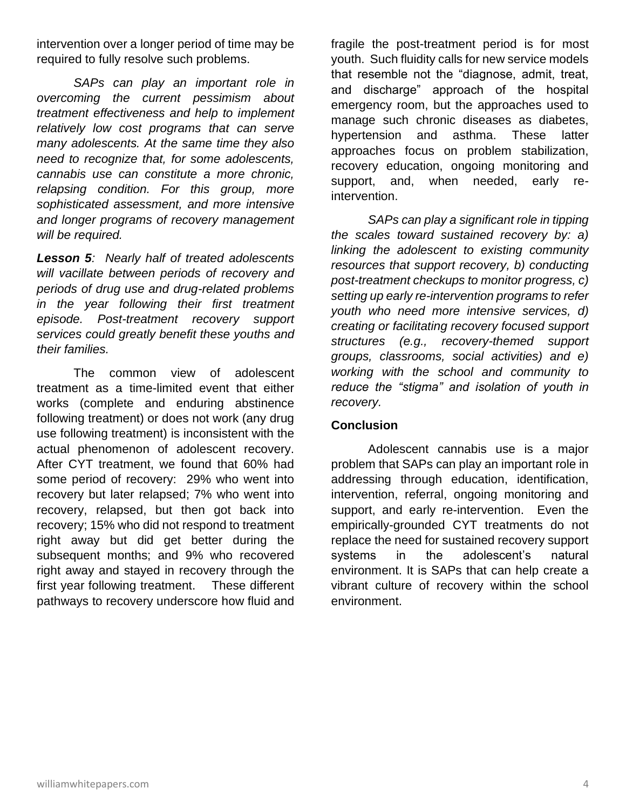intervention over a longer period of time may be required to fully resolve such problems.

*SAPs can play an important role in overcoming the current pessimism about treatment effectiveness and help to implement relatively low cost programs that can serve many adolescents. At the same time they also need to recognize that, for some adolescents, cannabis use can constitute a more chronic, relapsing condition. For this group, more sophisticated assessment, and more intensive and longer programs of recovery management will be required.* 

*Lesson 5: Nearly half of treated adolescents will vacillate between periods of recovery and periods of drug use and drug-related problems in the year following their first treatment episode. Post-treatment recovery support services could greatly benefit these youths and their families.* 

The common view of adolescent treatment as a time-limited event that either works (complete and enduring abstinence following treatment) or does not work (any drug use following treatment) is inconsistent with the actual phenomenon of adolescent recovery. After CYT treatment, we found that 60% had some period of recovery: 29% who went into recovery but later relapsed; 7% who went into recovery, relapsed, but then got back into recovery; 15% who did not respond to treatment right away but did get better during the subsequent months; and 9% who recovered right away and stayed in recovery through the first year following treatment. These different pathways to recovery underscore how fluid and fragile the post-treatment period is for most youth. Such fluidity calls for new service models that resemble not the "diagnose, admit, treat, and discharge" approach of the hospital emergency room, but the approaches used to manage such chronic diseases as diabetes, hypertension and asthma. These latter approaches focus on problem stabilization, recovery education, ongoing monitoring and support, and, when needed, early reintervention.

*SAPs can play a significant role in tipping the scales toward sustained recovery by: a) linking the adolescent to existing community resources that support recovery, b) conducting post-treatment checkups to monitor progress, c) setting up early re-intervention programs to refer youth who need more intensive services, d) creating or facilitating recovery focused support structures (e.g., recovery-themed support groups, classrooms, social activities) and e) working with the school and community to reduce the "stigma" and isolation of youth in recovery.* 

#### **Conclusion**

Adolescent cannabis use is a major problem that SAPs can play an important role in addressing through education, identification, intervention, referral, ongoing monitoring and support, and early re-intervention. Even the empirically-grounded CYT treatments do not replace the need for sustained recovery support systems in the adolescent's natural environment. It is SAPs that can help create a vibrant culture of recovery within the school environment.